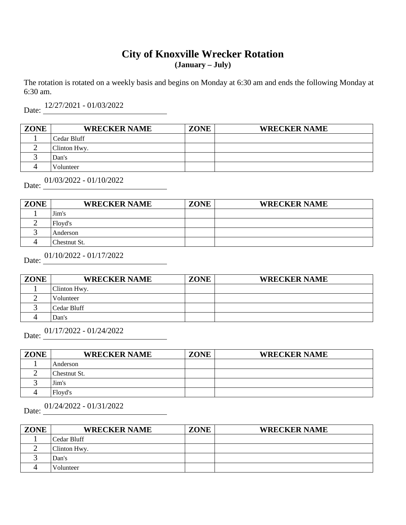#### **City of Knoxville Wrecker Rotation (January – July)**

The rotation is rotated on a weekly basis and begins on Monday at 6:30 am and ends the following Monday at 6:30 am.

 $\mathbf{D}_{\text{min}}$ 12/27/2021 - 01/03/2022

| Date: |  |
|-------|--|
|       |  |
|       |  |
|       |  |

| <b>ZONE</b> | <b>WRECKER NAME</b> | <b>ZONE</b> | <b>WRECKER NAME</b> |
|-------------|---------------------|-------------|---------------------|
|             | Cedar Bluff         |             |                     |
|             | Clinton Hwy.        |             |                     |
|             | Dan's               |             |                     |
|             | Volunteer           |             |                     |

Date: 01/03/2022 - 01/10/2022

| <b>ZONE</b> | <b>WRECKER NAME</b> | <b>ZONE</b> | <b>WRECKER NAME</b> |
|-------------|---------------------|-------------|---------------------|
|             | Jim's               |             |                     |
|             | Floyd's             |             |                     |
|             | Anderson            |             |                     |
|             | Chestnut St.        |             |                     |

Date:  $01/10/2022 - 01/17/2022$ 

| <b>ZONE</b> | <b>WRECKER NAME</b> | <b>ZONE</b> | <b>WRECKER NAME</b> |
|-------------|---------------------|-------------|---------------------|
|             | Clinton Hwy.        |             |                     |
|             | Volunteer           |             |                     |
|             | Cedar Bluff         |             |                     |
|             | Dan's               |             |                     |

Date: 01/17/2022 - 01/24/2022

| <b>ZONE</b> | <b>WRECKER NAME</b> | <b>ZONE</b> | <b>WRECKER NAME</b> |
|-------------|---------------------|-------------|---------------------|
|             | Anderson            |             |                     |
|             | Chestnut St.        |             |                     |
|             | Jim's               |             |                     |
|             | Floyd's             |             |                     |

Date:  $01/24/2022 - 01/31/2022$ 

| <b>ZONE</b> | <b>WRECKER NAME</b> | <b>ZONE</b> | <b>WRECKER NAME</b> |
|-------------|---------------------|-------------|---------------------|
|             | Cedar Bluff         |             |                     |
|             | Clinton Hwy.        |             |                     |
|             | Dan's               |             |                     |
|             | Volunteer           |             |                     |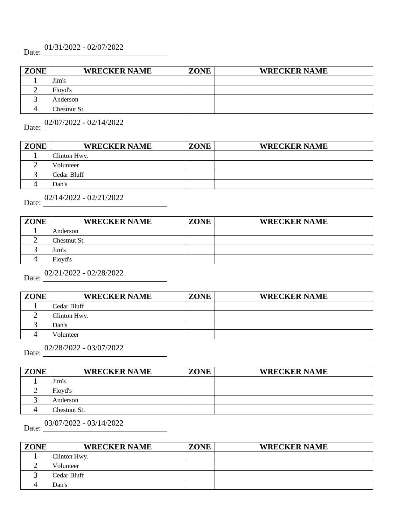# Date: 01/31/2022 - 02/07/2022

| <b>ZONE</b> | <b>WRECKER NAME</b> | <b>ZONE</b> | <b>WRECKER NAME</b> |
|-------------|---------------------|-------------|---------------------|
|             | Jim's               |             |                     |
|             | Floyd's             |             |                     |
|             | Anderson            |             |                     |
|             | Chestnut St.        |             |                     |

Date: 02/07/2022 - 02/14/2022

| <b>ZONE</b> | <b>WRECKER NAME</b> | <b>ZONE</b> | <b>WRECKER NAME</b> |
|-------------|---------------------|-------------|---------------------|
|             | Clinton Hwy.        |             |                     |
|             | Volunteer           |             |                     |
|             | Cedar Bluff         |             |                     |
|             | Dan's               |             |                     |

| Date:       | $02/14/2022 - 02/21/2022$ |             |                     |
|-------------|---------------------------|-------------|---------------------|
| <b>ZONE</b> | <b>WRECKER NAME</b>       | <b>ZONE</b> | <b>WRECKER NAME</b> |
|             | Anderson                  |             |                     |
|             | Chestnut St.              |             |                     |
|             | Jim's                     |             |                     |
|             | Floyd's                   |             |                     |

# Date: 02/21/2022 - 02/28/2022

3 4

| <b>ZONE</b> | <b>WRECKER NAME</b> | <b>ZONE</b> | <b>WRECKER NAME</b> |
|-------------|---------------------|-------------|---------------------|
|             | Cedar Bluff         |             |                     |
|             | Clinton Hwy.        |             |                     |
|             | Dan's               |             |                     |

Date: <u>02/28/2022</u> - 03/07/2022

Volunteer

| <b>ZONE</b> | <b>WRECKER NAME</b> | ZONE | <b>WRECKER NAME</b> |
|-------------|---------------------|------|---------------------|
|             | Jim's               |      |                     |
|             | Floyd's             |      |                     |
|             | Anderson            |      |                     |
|             | Chestnut St.        |      |                     |

Date: 03/07/2022 - 03/14/2022

**ZONE WRECKER NAME ZONE WRECKER NAME** 1 2 3 4 Clinton Hwy. Volunteer Cedar Bluff Dan's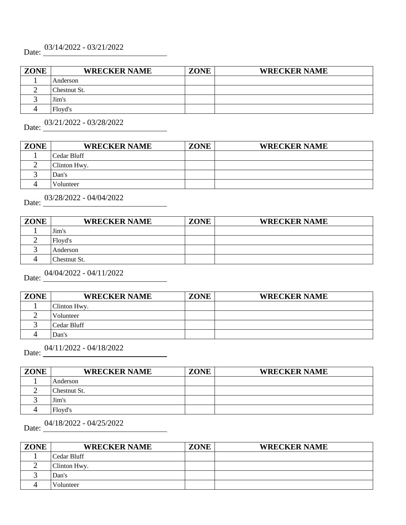# Date: 03/14/2022 - 03/21/2022

| <b>ZONE</b> | <b>WRECKER NAME</b> | <b>ZONE</b> | <b>WRECKER NAME</b> |
|-------------|---------------------|-------------|---------------------|
|             | Anderson            |             |                     |
|             | Chestnut St.        |             |                     |
|             | Jim's               |             |                     |
|             | Floyd's             |             |                     |

Date: 03/21/2022 - 03/28/2022

| <b>ZONE</b> | <b>WRECKER NAME</b> | <b>ZONE</b> | <b>WRECKER NAME</b> |
|-------------|---------------------|-------------|---------------------|
|             | Cedar Bluff         |             |                     |
|             | Clinton Hwy.        |             |                     |
|             | Dan's               |             |                     |
|             | Volunteer           |             |                     |

| Date:       | 03/28/2022 - 04/04/2022 |             |                     |  |
|-------------|-------------------------|-------------|---------------------|--|
| <b>ZONE</b> | <b>WRECKER NAME</b>     | <b>ZONE</b> | <b>WRECKER NAME</b> |  |
|             | Jim's                   |             |                     |  |
|             | Floyd's                 |             |                     |  |
|             | Anderson                |             |                     |  |
|             | Chestnut St.            |             |                     |  |

#### Date: 04/04/2022 - 04/11/2022

| <b>ZONE</b> | <b>WRECKER NAME</b> | <b>ZONE</b> | <b>WRECKER NAME</b> |
|-------------|---------------------|-------------|---------------------|
|             | Clinton Hwy.        |             |                     |
|             | Volunteer           |             |                     |
|             | Cedar Bluff         |             |                     |
|             | Dan's               |             |                     |

# Date:  $04/11/2022 - 04/18/2022$

| <b>ZONE</b> | <b>WRECKER NAME</b> | <b>ZONE</b> | <b>WRECKER NAME</b> |
|-------------|---------------------|-------------|---------------------|
|             | Anderson            |             |                     |
|             | Chestnut St.        |             |                     |
|             | Jim's               |             |                     |
|             | Floyd's             |             |                     |

# Date: <u>04/18/2022</u> - 04/25/2022

| <b>ZONE</b> | <b>WRECKER NAME</b> | <b>ZONE</b> | <b>WRECKER NAME</b> |
|-------------|---------------------|-------------|---------------------|
|             | Cedar Bluff         |             |                     |
|             | Clinton Hwy.        |             |                     |
|             | Dan's               |             |                     |
|             | Volunteer           |             |                     |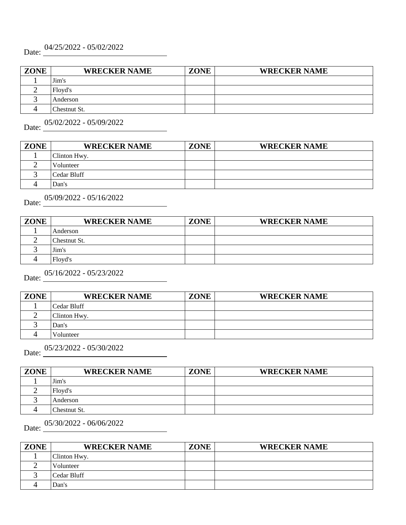# Date: 04/25/2022 - 05/02/2022

| <b>ZONE</b> | <b>WRECKER NAME</b> | <b>ZONE</b> | <b>WRECKER NAME</b> |
|-------------|---------------------|-------------|---------------------|
|             | Jim's               |             |                     |
|             | Floyd's             |             |                     |
|             | Anderson            |             |                     |
|             | Chestnut St.        |             |                     |

Date: 05/02/2022 - 05/09/2022

| <b>ZONE</b> | <b>WRECKER NAME</b> | <b>ZONE</b> | <b>WRECKER NAME</b> |
|-------------|---------------------|-------------|---------------------|
|             | Clinton Hwy.        |             |                     |
|             | Volunteer           |             |                     |
|             | Cedar Bluff         |             |                     |
|             | Dan's               |             |                     |

| Date:       | 05/09/2022 - 05/16/2022 |             |                     |  |  |
|-------------|-------------------------|-------------|---------------------|--|--|
| <b>ZONE</b> | <b>WRECKER NAME</b>     | <b>ZONE</b> | <b>WRECKER NAME</b> |  |  |
|             | Anderson                |             |                     |  |  |
|             | Chestnut St.            |             |                     |  |  |
|             | Jim's                   |             |                     |  |  |
|             | Floyd's                 |             |                     |  |  |

# Date: <u>05/16/2022</u> - 05/23/2022

| <b>ZONE</b> | <b>WRECKER NAME</b> | <b>ZONE</b> | <b>WRECKER NAME</b> |
|-------------|---------------------|-------------|---------------------|
|             | Cedar Bluff         |             |                     |
|             | Clinton Hwy.        |             |                     |
|             | Dan's               |             |                     |
|             | Volunteer           |             |                     |

Date: 05/23/2022 - 05/30/2022

| <b>ZONE</b> | <b>WRECKER NAME</b> | ZONE | <b>WRECKER NAME</b> |
|-------------|---------------------|------|---------------------|
|             | Jim's               |      |                     |
|             | Floyd's             |      |                     |
|             | Anderson            |      |                     |
|             | Chestnut St.        |      |                     |

Date: 05/30/2022 - 06/06/2022

| <b>ZONE</b> | <b>WRECKER NAME</b> | <b>ZONE</b> | <b>WRECKER NAME</b> |
|-------------|---------------------|-------------|---------------------|
|             | Clinton Hwy.        |             |                     |
|             | Volunteer           |             |                     |
|             | Cedar Bluff         |             |                     |
|             | Dan's               |             |                     |